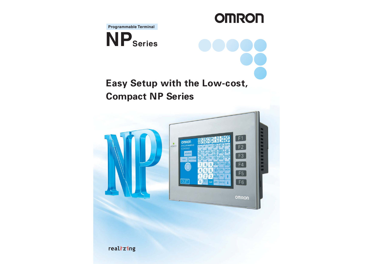**Programmable Terminal**



## **Easy Setup with the Low-cost, Compact NP Series**

**OMRON** 



realizing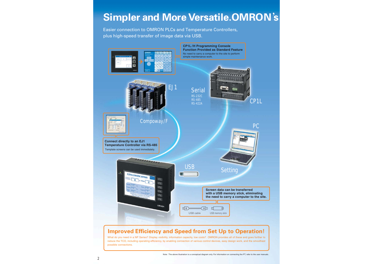## **Simpler and More Versatile.OMRON**'**s**

Easier connection to OMRON PLCs and Temperature Controllers, plus high-speed transfer of image data via USB.



### **Improved Efficiency and Speed from Set Up to Operation!**

What do you need in a NP Series? Display visibility, information capacity, low costs? OMRON provides all of these and goes further to reduce the TCO, including operating efficiency, by enabling connection of various control devices, easy design work, and the smoothest possible connections.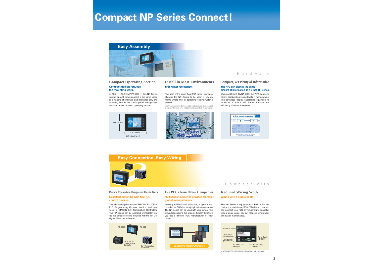## **Compact NP Series Connect!**

# **Easy Assembly**  $1300$

### **Compact design reduces the mounting work.**

At 130.1×104.8mm(NP3:W×H), this NP Series is small enough to be mounted in the same space as a handful of switches, and it requires only one mounting hole in the control panel. You get less work and a less crowded operating section.



#### **Compact Operating Section Install in Most Environments Compact, Yet Plenty of Information IP65 water resistance.**

The front of the panel has IP65 water resistance, allowing the NP Series to be used in environments where mist or splashing cooling water is present.

Note :The unit may not be able to be used in locations with long -term exposure to oil and water. For details on the installation environment, refer to the user manual.



#### Hardware

#### **The NP3 can display the same amount of information as a 5-inch NP Series.**

Using a 3.8-inch QVGA LCD, this NP3 is able to clearly display 8 grayscale levels in monochrome. The advanced display capabilities equivalent to those of a 5-inch NP Series improve the efficiency of onsite operations.



### **Easy Connection, Easy Wiring**



#### **Reduce Connection Design and Onsite Work Excellent matching with OMRON control devices.**

The NP Series provides an OMRON CP1L/CP1H PLC Programming Console function, and connects to OMRON EJ1 Temperature Controllers. The NP Series can be operated immediately using the sample screens included with the NP-Designer (Support Software).



#### **Use PLCs from Other Companies**

#### **Multivendor support is provided for major global manufacturers.**

Including OMRON and Mitsubishi, support is also provided for PLCs from major global manufacturers. The NP Series can be used with your current PLC without redesigning the system. It doesn't matter if you use a different PLC manufacturer for each project.



#### Connectivity

### **Reduced Wiring Work**

**Wiring with a single cable.**

The NP Series is equipped with both a RS-232 port and a switchable RS-422A/485 port so you can connect to a PLC or Temperature Controller with a single cable. You get reduced wiring work and easier maintenance.



<sup>※</sup> NP3-MQ000B、NP3-MQ000、NP3-MQ001B、NP3-MQ001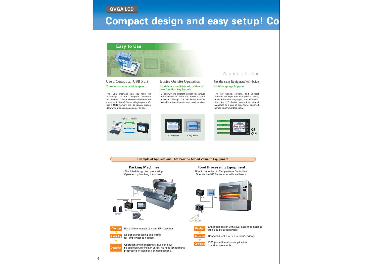**QVGA LCD**

## **Compact design and easy setup! Co**

**Easy to Use**



#### **Use a Computer USB Port Transfer screens at high speed.**

The USB interface lets you take full advantage of the computer software environment. Transfer screens created on the computer to the NP Series at high speeds. Or use a USB memory stick to transfer screen data without bringing a computer on-site.

#### **Easier On-site Operation Models are available with either of two function key layouts.**

Models with two different function key layouts are available to meet the needs of your application design. The NP Series case is available in two different colors: black or silver.

#### Operation

**Use the Same Equipment Worldwide Multi-language Support.**

The NP Series, screens, and Support Software are supported in English, Chinese, many European languages, and Japanese. Also, the NP Series meets international standards so it can be exported or imported across country borders easily.







#### **Example of Applications That Provide Added Value to Equipment**

#### **Packing Machines**

Simplified design and processing. Operated by touching the screen.

**Food Processing Equipment**

Direct connection to Temperature Controllers. Operate the NP Series even with wet hands.





**Operation** 

No panel processing and wiring for lamp switches needed.

Operation and monitoring status can now be achieved with one NP Series. No need for additional processing for additions or modifications.





**Heater** 

Easy screen design by using NP-Designer. **Enhanced design with silver case that matches** stainless-steel equipment.



Connect directly to EJ1 to reduce wiring.



IP65 protection allows application in wet environments.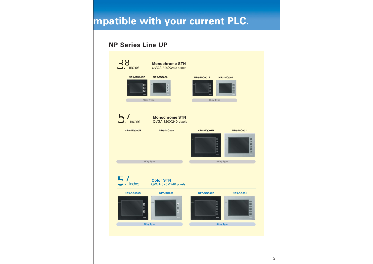## **mpatible with your current PLC.**

## **NP Series Line UP**

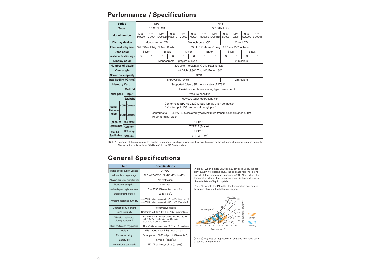## **Performance / Specifications**

| <b>Series</b>                             |  | NP <sub>3</sub>       |                                                                                                       |                                                                                                  |        | NP <sub>5</sub>                                    |                                             |                             |             |                              |                      |                      |                       |                             |  |
|-------------------------------------------|--|-----------------------|-------------------------------------------------------------------------------------------------------|--------------------------------------------------------------------------------------------------|--------|----------------------------------------------------|---------------------------------------------|-----------------------------|-------------|------------------------------|----------------------|----------------------|-----------------------|-----------------------------|--|
| <b>Type</b>                               |  |                       | 3.8 STN LCD                                                                                           |                                                                                                  |        |                                                    | 5.7 STN LCD                                 |                             |             |                              |                      |                      |                       |                             |  |
| <b>Model number</b>                       |  |                       | $NP3-$<br><b>MQ000</b>                                                                                | NP <sub>3</sub> -<br>MQ001                                                                       | $NP3-$ | $NP3-$<br>MQ000B MQ001B                            | <b>NP5-</b><br><b>MQ000</b>                 | <b>NP5-</b><br><b>MQ001</b> | <b>NP5-</b> | <b>NP5-</b><br>MQ000B MQ001B | <b>NP5-</b><br>SQ000 | <b>NP5-</b><br>SQ001 | <b>NP5-</b><br>SQ000B | NP <sub>5</sub> -<br>SQ001B |  |
| <b>Display device</b>                     |  |                       |                                                                                                       | Monochrome LCD                                                                                   |        |                                                    |                                             | Monochrome LCD              |             |                              | Color LCD            |                      |                       |                             |  |
| <b>Effective display area</b>             |  |                       | Width 78.8mm X height 59.6 mm (3.8 inches)                                                            |                                                                                                  |        | Width 121.4mm $\times$ height 92.6 mm (5.7 inches) |                                             |                             |             |                              |                      |                      |                       |                             |  |
| <b>Case color</b>                         |  |                       | Silver                                                                                                |                                                                                                  |        | <b>Black</b>                                       |                                             | Silver                      |             | <b>Black</b>                 |                      | Silver               |                       | <b>Black</b>                |  |
| <b>Number of function keys</b>            |  |                       | 3                                                                                                     | 6                                                                                                | 3      | 6                                                  | 3                                           | 6                           | 3           | 6                            | 3                    | 6                    | 3                     | 6                           |  |
| <b>Display color</b>                      |  |                       |                                                                                                       | 256 colors<br>Monochrome/8 grayscale levels                                                      |        |                                                    |                                             |                             |             |                              |                      |                      |                       |                             |  |
| <b>Number of pixels</b>                   |  |                       |                                                                                                       | 320 pixel horizontal X 240 pixel vertical                                                        |        |                                                    |                                             |                             |             |                              |                      |                      |                       |                             |  |
| <b>View angle</b>                         |  |                       | Left / right ±30°, Top 10°, Bottom 30°                                                                |                                                                                                  |        |                                                    |                                             |                             |             |                              |                      |                      |                       |                             |  |
| <b>Screen data capacity</b>               |  |                       | 3MB                                                                                                   |                                                                                                  |        |                                                    |                                             |                             |             |                              |                      |                      |                       |                             |  |
| Image data (BMPor JPG images)             |  |                       |                                                                                                       | 256 colors<br>8 grayscale levels                                                                 |        |                                                    |                                             |                             |             |                              |                      |                      |                       |                             |  |
| <b>Memory Card</b>                        |  |                       | Supported (Use USB memory stick (FAT32))                                                              |                                                                                                  |        |                                                    |                                             |                             |             |                              |                      |                      |                       |                             |  |
|                                           |  | <b>Method</b>         |                                                                                                       |                                                                                                  |        |                                                    | Resistive membrane analog type (See note.1) |                             |             |                              |                      |                      |                       |                             |  |
| Touch panel                               |  | Input                 | Pressure-sensitive                                                                                    |                                                                                                  |        |                                                    |                                             |                             |             |                              |                      |                      |                       |                             |  |
|                                           |  | <b>Servicelife</b>    | 1,000,000 touch operations min                                                                        |                                                                                                  |        |                                                    |                                             |                             |             |                              |                      |                      |                       |                             |  |
| <b>Serial</b>                             |  | <b>COM1 Connector</b> |                                                                                                       | Conforms to EIA RS-232C D-Sub female 9-pin connector<br>5 VDC output (250 mA max.) through pin 6 |        |                                                    |                                             |                             |             |                              |                      |                      |                       |                             |  |
| Communi-                                  |  |                       |                                                                                                       |                                                                                                  |        |                                                    |                                             |                             |             |                              |                      |                      |                       |                             |  |
| cations                                   |  | <b>COM2</b> Connector | Conforms to RS-422A / 485 (Isolated-type) Maximum transmission distance 500m<br>10-pin terminal block |                                                                                                  |        |                                                    |                                             |                             |             |                              |                      |                      |                       |                             |  |
| <b>USB SLAVE</b><br><b>Specifications</b> |  | <b>USB rating</b>     | <b>USB1.1</b>                                                                                         |                                                                                                  |        |                                                    |                                             |                             |             |                              |                      |                      |                       |                             |  |
|                                           |  | <b>Connector</b>      |                                                                                                       |                                                                                                  |        |                                                    | TYPE-B (Slave)                              |                             |             |                              |                      |                      |                       |                             |  |
| <b>USB HOST</b><br><b>Specifications</b>  |  | <b>USB rating</b>     |                                                                                                       |                                                                                                  |        | <b>USB1.1</b>                                      |                                             |                             |             |                              |                      |                      |                       |                             |  |
|                                           |  | <b>Connector</b>      |                                                                                                       |                                                                                                  |        |                                                    | TYPE-A (Host)                               |                             |             |                              |                      |                      |                       |                             |  |

(Note 1) Because of the structure of the analog touch panel, touch points may shift by over time use or the influence of temperature and humidity. Please periodically perform "Calibrate" in the NP System Menu.

## **General Specifications**

| <b>Item</b>                                | <b>Specifications</b>                                                                                                                     |  |  |
|--------------------------------------------|-------------------------------------------------------------------------------------------------------------------------------------------|--|--|
| Rated power supply voltage                 | 24 VDC                                                                                                                                    |  |  |
| Allowable voltage range                    | 21.6 to 27.6 VDC (24 VDC -10% to +15%)                                                                                                    |  |  |
| Allowable input power interruption time    | No restriction                                                                                                                            |  |  |
| Power consumption                          | 12W max                                                                                                                                   |  |  |
| Ambient operating temperature              | 0 to 50°C (See notes 1 and 2)                                                                                                             |  |  |
| Storage temperature                        | $-20$ to $+60^{\circ}$ C                                                                                                                  |  |  |
| Ambient operating humidity                 | 35 to 85%RH with no condensation (0 to 40°C) (See notes 2.)<br>35 to 50%RH with no condensation (40 to 50°C) (See notes 2.)               |  |  |
| Operating environment                      | No corrosive gases                                                                                                                        |  |  |
| Noise immunity                             | Conforms to IEC61000-4-4, 2 KV (power lines)                                                                                              |  |  |
| Vibration resistance<br>(during operation) | 5 to 9 Hz with 3.1 mm amplitude and 9 to 150 Hz<br>with 9.8 m/s <sup>2</sup> acceleration for 30 min in<br>each of X, Y, and Z directions |  |  |
| Shock resistance (during operation)        | 147 m/s <sup>2</sup> 3 times in each of X, Y, and Z directions                                                                            |  |  |
| Weight                                     | NP5: 900g max NP3: 500g max                                                                                                               |  |  |
| Enclosure rating                           | Front panel: IP65F oil proof (See note 3)                                                                                                 |  |  |
| <b>Battery life</b>                        | 5 years (at 25°C)                                                                                                                         |  |  |
| International standards                    | EC Directives, cULus (UL508)                                                                                                              |  |  |

(Note 1) When a STN LCD display device is used, the display quality will decline (e.g., the contrast ratio will be reduced) if the temperature exceeds 40°C. Also, when the temperature drops, the response speed is lowered due to characteristics of liquid crystals.

(Note 2) Operate the PT within the temperature and humidity ranges shown in the following diagram



(Note 3) May not be applicable in locations with long-term exposure to water or oil.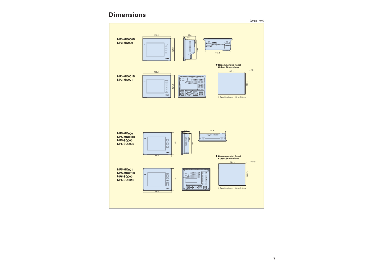## **Dimensions**

(Units : mm)